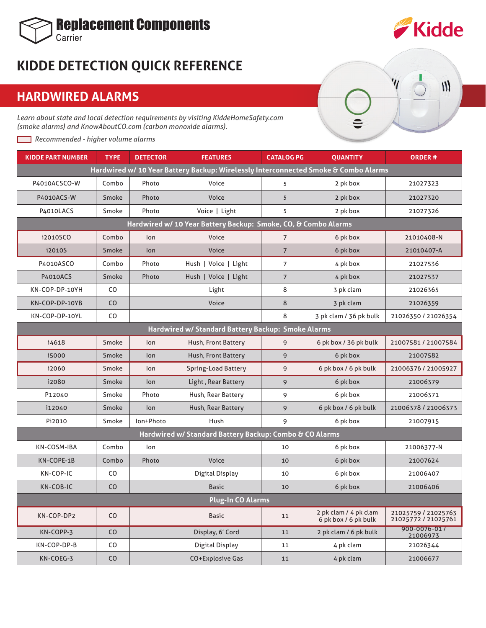

## **KIDDE DETECTION QUICK REFERENCE**

## **HARDWIRED ALARMS**

*Learn about state and local detection requirements by visiting KiddeHomeSafety.com (smoke alarms) and KnowAboutCO.com (carbon monoxide alarms).*

*Recommended - higher volume alarms*

 $\mathsf{III}$ 

| <b>KIDDE PART NUMBER</b>                                                            | <b>TYPE</b>                                                    | <b>DETECTOR</b> | <b>FEATURES</b>        | <b>CATALOG PG</b> | <b>OUANTITY</b>                               | <b>ORDER#</b>                              |  |  |  |  |  |
|-------------------------------------------------------------------------------------|----------------------------------------------------------------|-----------------|------------------------|-------------------|-----------------------------------------------|--------------------------------------------|--|--|--|--|--|
| Hardwired w/ 10 Year Battery Backup: Wirelessly Interconnected Smoke & Combo Alarms |                                                                |                 |                        |                   |                                               |                                            |  |  |  |  |  |
| P4010ACSCO-W                                                                        | Combo                                                          | Photo           | Voice                  | 5                 | 2 pk box                                      | 21027323                                   |  |  |  |  |  |
| P4010ACS-W                                                                          | Smoke                                                          | Photo           | Voice                  | 5                 | 2 pk box                                      | 21027320                                   |  |  |  |  |  |
| P4010LACS                                                                           | Smoke                                                          | Photo           | Voice   Light          | 5                 | 2 pk box                                      | 21027326                                   |  |  |  |  |  |
|                                                                                     | Hardwired w/ 10 Year Battery Backup: Smoke, CO, & Combo Alarms |                 |                        |                   |                                               |                                            |  |  |  |  |  |
| i2010SCO                                                                            | Combo                                                          | lon             | Voice                  | $\overline{7}$    | 6 pk box                                      | 21010408-N                                 |  |  |  |  |  |
| i2010S                                                                              | Smoke                                                          | lon             | Voice                  | $\overline{7}$    | 6 pk box                                      | 21010407-A                                 |  |  |  |  |  |
| P4010ASCO                                                                           | Combo                                                          | Photo           | Hush   Voice   Light   | $\overline{7}$    | 4 pk box                                      | 21027536                                   |  |  |  |  |  |
| <b>P4010ACS</b>                                                                     | Smoke                                                          | Photo           | Hush   Voice   Light   | $\overline{7}$    | 4 pk box                                      | 21027537                                   |  |  |  |  |  |
| KN-COP-DP-10YH                                                                      | CO                                                             |                 | Light                  | 8                 | 3 pk clam                                     | 21026365                                   |  |  |  |  |  |
| KN-COP-DP-10YB                                                                      | CO                                                             |                 | Voice                  | 8                 | 3 pk clam                                     | 21026359                                   |  |  |  |  |  |
| KN-COP-DP-10YL                                                                      | CO                                                             |                 |                        | 8                 | 3 pk clam / 36 pk bulk                        | 21026350 / 21026354                        |  |  |  |  |  |
| Hardwired w/ Standard Battery Backup: Smoke Alarms                                  |                                                                |                 |                        |                   |                                               |                                            |  |  |  |  |  |
| i4618                                                                               | Smoke                                                          | lon             | Hush, Front Battery    | 9                 | 6 pk box / 36 pk bulk                         | 21007581 / 21007584                        |  |  |  |  |  |
| i5000                                                                               | Smoke                                                          | lon             | Hush, Front Battery    | 9                 | 6 pk box                                      | 21007582                                   |  |  |  |  |  |
| i2060                                                                               | Smoke                                                          | lon             | Spring-Load Battery    | 9                 | 6 pk box / 6 pk bulk                          | 21006376 / 21005927                        |  |  |  |  |  |
| i2080                                                                               | Smoke                                                          | lon             | Light, Rear Battery    | 9                 | 6 pk box                                      | 21006379                                   |  |  |  |  |  |
| P12040                                                                              | Smoke                                                          | Photo           | Hush, Rear Battery     | 9                 | 6 pk box                                      | 21006371                                   |  |  |  |  |  |
| i12040                                                                              | Smoke                                                          | lon             | Hush, Rear Battery     | 9                 | 6 pk box / 6 pk bulk                          | 21006378 / 21006373                        |  |  |  |  |  |
| Pi2010                                                                              | Smoke                                                          | lon+Photo       | Hush                   | 9                 | 6 pk box                                      | 21007915                                   |  |  |  |  |  |
| Hardwired w/ Standard Battery Backup: Combo & CO Alarms                             |                                                                |                 |                        |                   |                                               |                                            |  |  |  |  |  |
| KN-COSM-IBA                                                                         | Combo                                                          | lon             |                        | 10                | 6 pk box                                      | 21006377-N                                 |  |  |  |  |  |
| KN-COPE-1B                                                                          | Combo                                                          | Photo           | Voice                  | 10                | 6 pk box                                      | 21007624                                   |  |  |  |  |  |
| KN-COP-IC                                                                           | CO.                                                            |                 | <b>Digital Display</b> | 10                | 6 pk box                                      | 21006407                                   |  |  |  |  |  |
| KN-COB-IC                                                                           | CO                                                             |                 | <b>Basic</b>           | 10                | 6 pk box                                      | 21006406                                   |  |  |  |  |  |
| <b>Plug-In CO Alarms</b>                                                            |                                                                |                 |                        |                   |                                               |                                            |  |  |  |  |  |
| KN-COP-DP2                                                                          | CO                                                             |                 | <b>Basic</b>           | 11                | 2 pk clam / 4 pk clam<br>6 pk box / 6 pk bulk | 21025759 / 21025763<br>21025772 / 21025761 |  |  |  |  |  |
| KN-COPP-3                                                                           | CO                                                             |                 | Display, 6' Cord       | 11                | 2 pk clam / 6 pk bulk                         | 900-0076-01 /<br>21006973                  |  |  |  |  |  |
| KN-COP-DP-B                                                                         | CO                                                             |                 | Digital Display        | 11                | 4 pk clam                                     | 21026344                                   |  |  |  |  |  |
| KN-COEG-3                                                                           | CO                                                             |                 | CO+Explosive Gas       | 11                | 4 pk clam                                     | 21006677                                   |  |  |  |  |  |